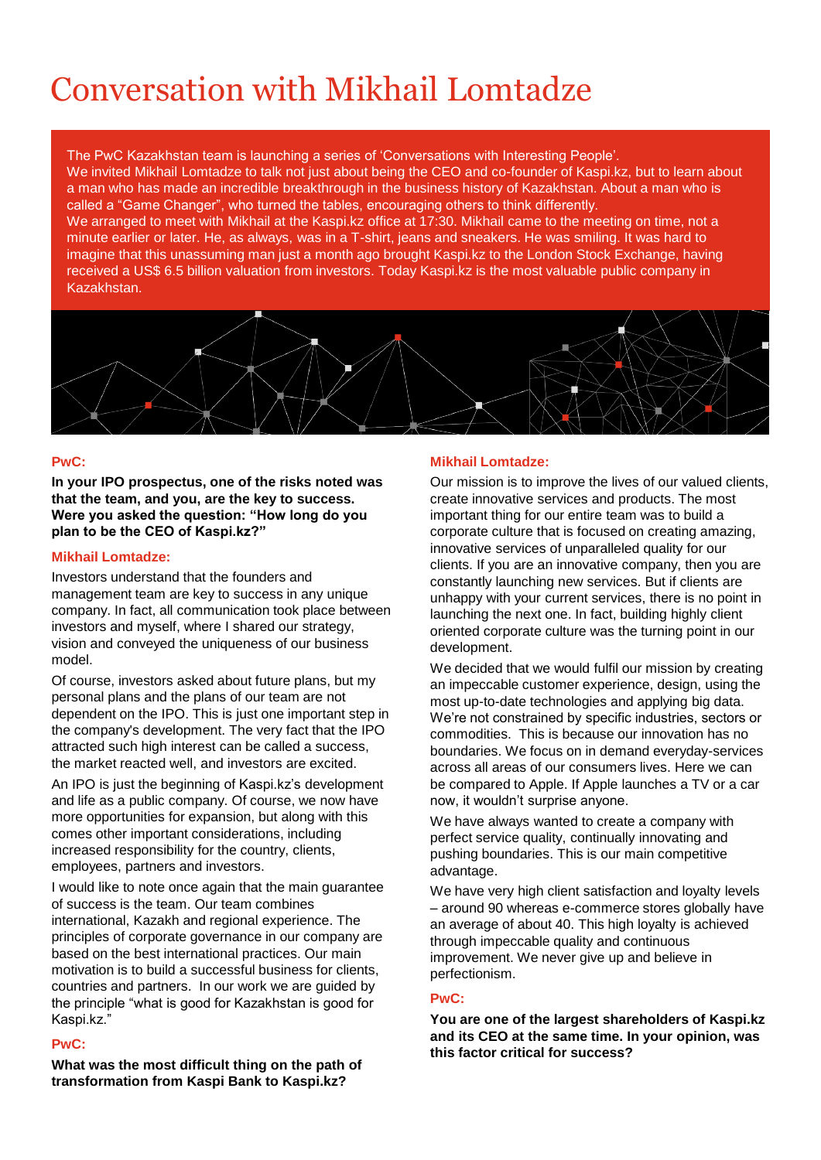# Conversation with Mikhail Lomtadze

The PwC Kazakhstan team is launching a series of 'Conversations with Interesting People'. We invited Mikhail Lomtadze to talk not just about being the CEO and co-founder of Kaspi.kz, but to learn about a man who has made an incredible breakthrough in the business history of Kazakhstan. About a man who is called a "Game Changer", who turned the tables, encouraging others to think differently. We arranged to meet with Mikhail at the Kaspi.kz office at 17:30. Mikhail came to the meeting on time, not a minute earlier or later. He, as always, was in a T-shirt, jeans and sneakers. He was smiling. It was hard to imagine that this unassuming man just a month ago brought Kaspi.kz to the London Stock Exchange, having received a US\$ 6.5 billion valuation from investors. Today Kaspi.kz is the most valuable public company in



## **PwC:**

**In your IPO prospectus, one of the risks noted was that the team, and you, are the key to success. Were you asked the question: "How long do you plan to be the CEO of Kaspi.kz?"**

## **Mikhail Lomtadze:**

Investors understand that the founders and management team are key to success in any unique company. In fact, all communication took place between investors and myself, where I shared our strategy, vision and conveyed the uniqueness of our business model.

Of course, investors asked about future plans, but my personal plans and the plans of our team are not dependent on the IPO. This is just one important step in the company's development. The very fact that the IPO attracted such high interest can be called a success, the market reacted well, and investors are excited.

An IPO is just the beginning of Kaspi.kz's development and life as a public company. Of course, we now have more opportunities for expansion, but along with this comes other important considerations, including increased responsibility for the country, clients, employees, partners and investors.

I would like to note once again that the main guarantee of success is the team. Our team combines international, Kazakh and regional experience. The principles of corporate governance in our company are based on the best international practices. Our main motivation is to build a successful business for clients, countries and partners. In our work we are guided by the principle "what is good for Kazakhstan is good for Kaspi.kz."

## **PwC:**

**What was the most difficult thing on the path of transformation from Kaspi Bank to Kaspi.kz?**

## **Mikhail Lomtadze:**

Our mission is to improve the lives of our valued clients, create innovative services and products. The most important thing for our entire team was to build a corporate culture that is focused on creating amazing, innovative services of unparalleled quality for our clients. If you are an innovative company, then you are constantly launching new services. But if clients are unhappy with your current services, there is no point in launching the next one. In fact, building highly client oriented corporate culture was the turning point in our development.

We decided that we would fulfil our mission by creating an impeccable customer experience, design, using the most up-to-date technologies and applying big data. We're not constrained by specific industries, sectors or commodities. This is because our innovation has no boundaries. We focus on in demand everyday-services across all areas of our consumers lives. Here we can be compared to Apple. If Apple launches a TV or a car now, it wouldn't surprise anyone.

We have always wanted to create a company with perfect service quality, continually innovating and pushing boundaries. This is our main competitive advantage.

We have very high client satisfaction and loyalty levels – around 90 whereas e-commerce stores globally have an average of about 40. This high loyalty is achieved through impeccable quality and continuous improvement. We never give up and believe in perfectionism.

# **PwC:**

**You are one of the largest shareholders of Kaspi.kz and its CEO at the same time. In your opinion, was this factor critical for success?**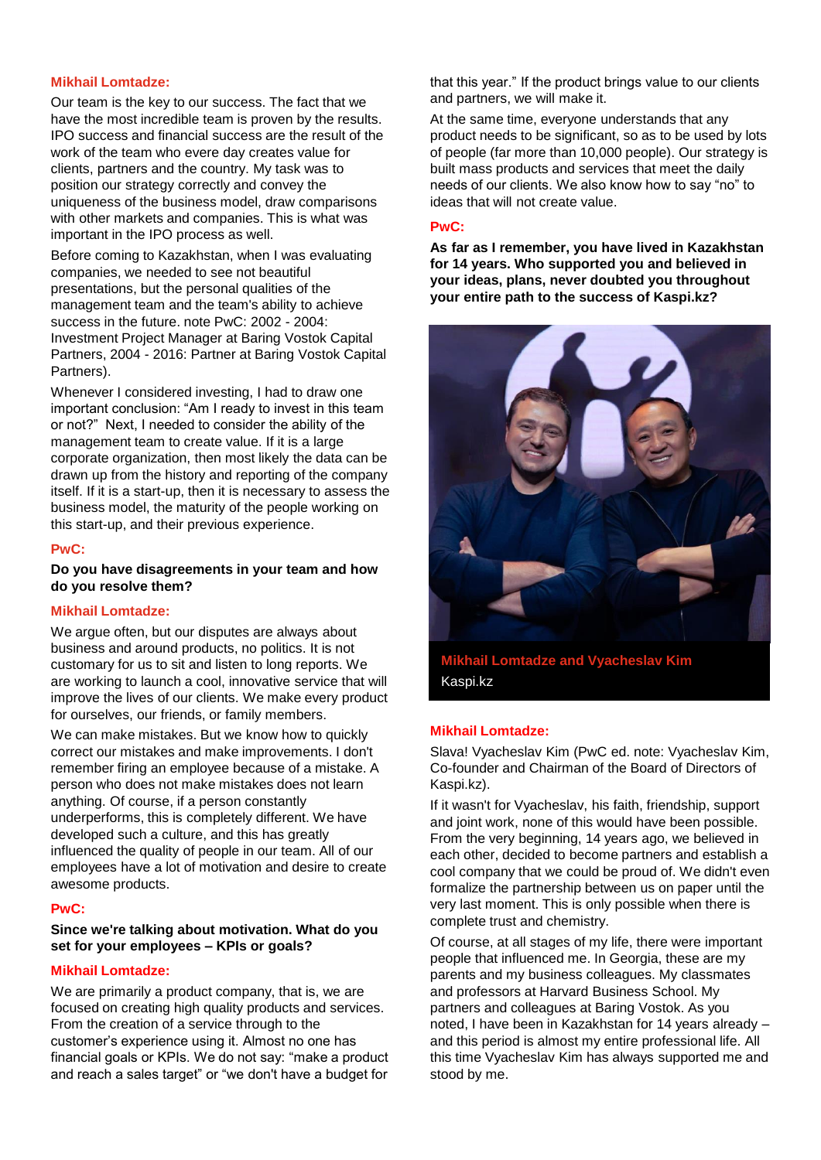## **Mikhail Lomtadze:**

Our team is the key to our success. The fact that we have the most incredible team is proven by the results. IPO success and financial success are the result of the work of the team who evere day creates value for clients, partners and the country. My task was to position our strategy correctly and convey the uniqueness of the business model, draw comparisons with other markets and companies. This is what was important in the IPO process as well.

Before coming to Kazakhstan, when I was evaluating companies, we needed to see not beautiful presentations, but the personal qualities of the management team and the team's ability to achieve success in the future. note PwC: 2002 - 2004: Investment Project Manager at Baring Vostok Capital Partners, 2004 - 2016: Partner at Baring Vostok Capital Partners).

Whenever I considered investing, I had to draw one important conclusion: "Am I ready to invest in this team or not?" Next, I needed to consider the ability of the management team to create value. If it is a large corporate organization, then most likely the data can be drawn up from the history and reporting of the company itself. If it is a start-up, then it is necessary to assess the business model, the maturity of the people working on this start-up, and their previous experience.

#### **PwC:**

#### **Do you have disagreements in your team and how do you resolve them?**

#### **Mikhail Lomtadze:**

We argue often, but our disputes are always about business and around products, no politics. It is not customary for us to sit and listen to long reports. We are working to launch a cool, innovative service that will improve the lives of our clients. We make every product for ourselves, our friends, or family members.

We can make mistakes. But we know how to quickly correct our mistakes and make improvements. I don't remember firing an employee because of a mistake. A person who does not make mistakes does not learn anything. Of course, if a person constantly underperforms, this is completely different. We have developed such a culture, and this has greatly influenced the quality of people in our team. All of our employees have a lot of motivation and desire to create awesome products.

#### **PwC:**

## **Since we're talking about motivation. What do you set for your employees – KPIs or goals?**

## **Mikhail Lomtadze:**

We are primarily a product company, that is, we are focused on creating high quality products and services. From the creation of a service through to the customer's experience using it. Almost no one has financial goals or KPIs. We do not say: "make a product and reach a sales target" or "we don't have a budget for

that this year." If the product brings value to our clients and partners, we will make it.

At the same time, everyone understands that any product needs to be significant, so as to be used by lots of people (far more than 10,000 people). Our strategy is built mass products and services that meet the daily needs of our clients. We also know how to say "no" to ideas that will not create value.

#### **PwC:**

**As far as I remember, you have lived in Kazakhstan for 14 years. Who supported you and believed in your ideas, plans, never doubted you throughout your entire path to the success of Kaspi.kz?**



Kaspi.kz

#### **Mikhail Lomtadze:**

Slava! Vyacheslav Kim (PwC ed. note: Vyacheslav Kim, Co-founder and Chairman of the Board of Directors of Kaspi.kz).

If it wasn't for Vyacheslav, his faith, friendship, support and joint work, none of this would have been possible. From the very beginning, 14 years ago, we believed in each other, decided to become partners and establish a cool company that we could be proud of. We didn't even formalize the partnership between us on paper until the very last moment. This is only possible when there is complete trust and chemistry.

Of course, at all stages of my life, there were important people that influenced me. In Georgia, these are my parents and my business colleagues. My classmates and professors at Harvard Business School. My partners and colleagues at Baring Vostok. As you noted, I have been in Kazakhstan for 14 years already – and this period is almost my entire professional life. All this time Vyacheslav Kim has always supported me and stood by me.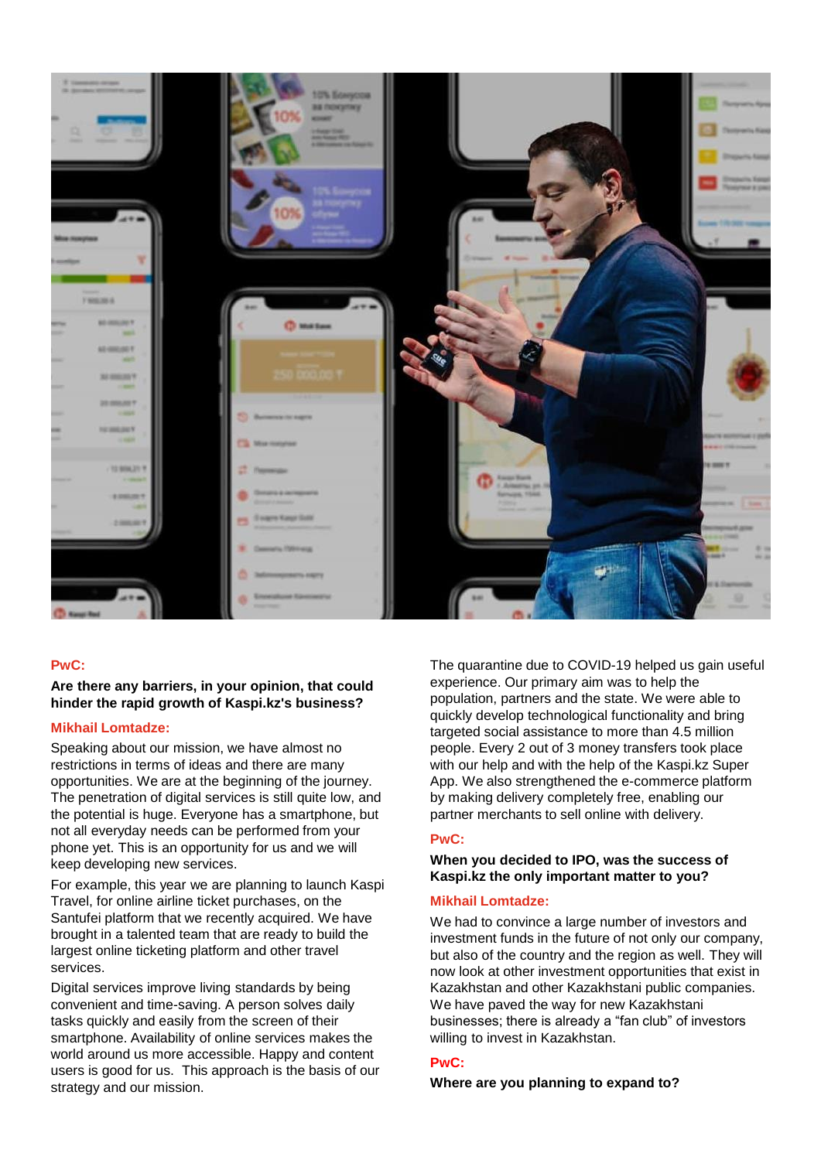

## **PwC:**

## **Are there any barriers, in your opinion, that could hinder the rapid growth of Kaspi.kz's business?**

#### **Mikhail Lomtadze:**

Speaking about our mission, we have almost no restrictions in terms of ideas and there are many opportunities. We are at the beginning of the journey. The penetration of digital services is still quite low, and the potential is huge. Everyone has a smartphone, but not all everyday needs can be performed from your phone yet. This is an opportunity for us and we will keep developing new services.

For example, this year we are planning to launch Kaspi Travel, for online airline ticket purchases, on the Santufei platform that we recently acquired. We have brought in a talented team that are ready to build the largest online ticketing platform and other travel services.

Digital services improve living standards by being convenient and time-saving. A person solves daily tasks quickly and easily from the screen of their smartphone. Availability of online services makes the world around us more accessible. Happy and content users is good for us. This approach is the basis of our strategy and our mission.

The quarantine due to COVID-19 helped us gain useful experience. Our primary aim was to help the population, partners and the state. We were able to quickly develop technological functionality and bring targeted social assistance to more than 4.5 million people. Every 2 out of 3 money transfers took place with our help and with the help of the Kaspi.kz Super App. We also strengthened the e-commerce platform by making delivery completely free, enabling our partner merchants to sell online with delivery.

## **PwC:**

## **When you decided to IPO, was the success of Kaspi.kz the only important matter to you?**

#### **Mikhail Lomtadze:**

We had to convince a large number of investors and investment funds in the future of not only our company, but also of the country and the region as well. They will now look at other investment opportunities that exist in Kazakhstan and other Kazakhstani public companies. We have paved the way for new Kazakhstani businesses; there is already a "fan club" of investors willing to invest in Kazakhstan.

# **PwC:**

#### **Where are you planning to expand to?**